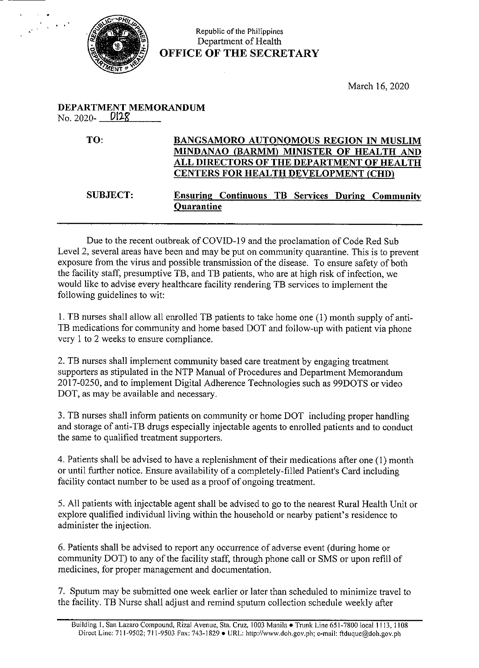

## Republic of the Philippines Department of Health OFFICE OF THE SECRETARY

March 16, 2020

## DEPARTMENT MEMORANDUM No. 2020- $\frac{\text{D12g}}{}$

TO: BANGSAMORO AUTONOMOUS REGION IN MUSLIM MINDANAO (BARMM) MINISTER OF HEALTH AND ALL DIRECTORS OF THE DEPARTMENT OF HEALTH CENTERS FOR HEALTH DEVELOPMENT (CHD)

## SUBJECT: Ensuring Continuous TB Services During Community **Quarantine**

Due to the recent outbreak of COVID-19 and the proclamation of Code Red Sub Level 2, several areas have been and may be put on community quarantine. This is to prevent exposure from the virus and possible transmission of the disease. To ensure safety of both the facility staff, presumptive TB, and TB patients, who are at high risk of infection, we would like to advise every healthcare facility rendering TB services to implement the following guidelines to wit:

1. TB nurses shall allow all enrolled TB patients to take home one (1) month supply of anti-TB medications for community and home based DOT and follow-up with patient via phone very 1 to 2 weeks to ensure compliance.

2. TB nurses shall implement community based care treatment by engaging treatment supporters as stipulated in the NTP Manual of Procedures and Department Memorandum 2017-0250, and to implement Digital Adherence Technologies such as 99DOTS or video DOT, as may be available and necessary.

3. TB nurses shall inform patients on community or home DOT including proper handling and storage of anti-TB drugs especially injectable agents to enrolled patients and to conduct the same to qualified treatment supporters.

4. Patients shall be advised to have a replenishment of their medications after one (1) month or until further notice. Ensure availability of a completely-filled Patient's Card including facility contact number to be used as a proof of ongoing treatment.

5. All patients with injectable agent shall be advised to go to the nearest Rural Health Unit or explore qualified individual living within the household or nearby patient's residence to administer the injection.

6. Patients shall be advised to report any occurrence of adverse event (during home or community DOT) to any of the facility staff, through phone call or SMS or upon refill of medicines, for proper management and documentation.

7. Sputum may be submitted one week earlier or later than scheduled to minimize travel to the facility. TB Nurse shall adjust and remind sputum collection schedule weekly after